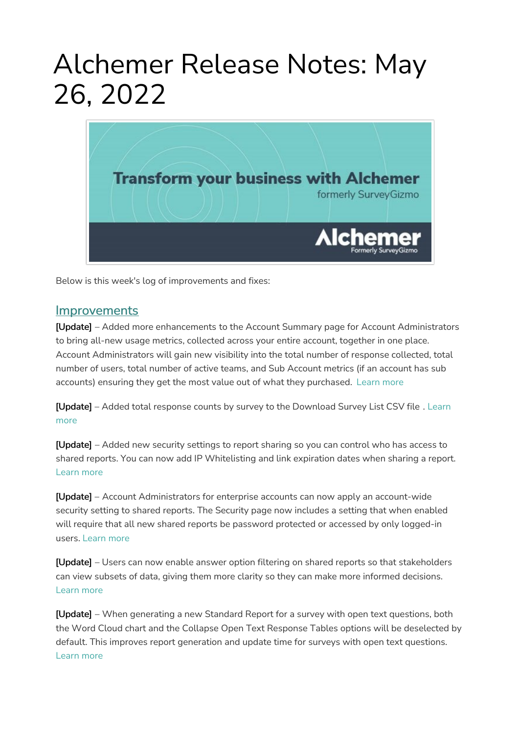## Alchemer Release Notes: May 26, 2022



Below is this week's log of improvements and fixes:

## **Improvements**

[Update] – Added more enhancements to the Account Summary page for Account Administrators to bring all-new usage metrics, collected across your entire account, together in one place. Account Administrators will gain new visibility into the total number of response collected, total number of users, total number of active teams, and Sub Account metrics (if an account has sub accounts) ensuring they get the most value out of what they purchased. [Learn](https://help.alchemer.com/help/standard-theme#account) more

[Update] – Added total response counts by survey to the [Download](https://help.alchemer.com/help/project-list) Survey List CSV file . Learn more

[Update] – Added new security settings to report sharing so you can control who has access to shared reports. You can now add IP Whitelisting and link expiration dates when sharing a report. [Learn](https://help.alchemer.com/help/share-email-and-schedule-a-report) more

[Update] – Account Administrators for enterprise accounts can now apply an account-wide security setting to shared reports. The Security page now includes a setting that when enabled will require that all new shared reports be password protected or accessed by only logged-in users. [Learn](https://help.alchemer.com/help/standard-theme#security) more

[Update] – Users can now enable answer option filtering on shared reports so that stakeholders can view subsets of data, giving them more clarity so they can make more informed decisions. [Learn](https://help.alchemer.com/help/allow-report-viewer-to-filter-results) more

[Update] - When generating a new Standard Report for a survey with open text questions, both the Word Cloud chart and the Collapse Open Text Response Tables options will be deselected by default. This improves report generation and update time for surveys with open text questions. [Learn](https://help.alchemer.com/help/standard-report-word-cloud) more